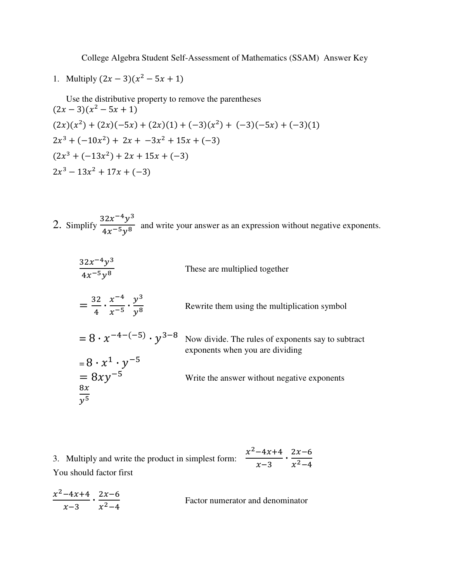College Algebra Student Self-Assessment of Mathematics (SSAM) Answer Key

1. Multiply 
$$
(2x - 3)(x^2 - 5x + 1)
$$

Use the distributive property to remove the parentheses  $(2x-3)(x^2-5x+1)$  $(2x)(x^2) + (2x)(-5x) + (2x)(1) + (-3)(x^2) + (-3)(-5x) + (-3)(1)$  $2x^3 + (-10x^2) + 2x + -3x^2 + 15x + (-3)$  $(2x^3 + (-13x^2) + 2x + 15x + (-3))$  $2x^3 - 13x^2 + 17x + (-3)$ 

2. Simplify  $\frac{32x^{-4}y^3}{4x^{-5}y^8}$  $\frac{32x}{4x^{-5}y^8}$  and write your answer as an expression without negative exponents.

| $\frac{32x^{-4}y^3}{4x^{-5}y^8}$                              | These are multiplied together                                                         |
|---------------------------------------------------------------|---------------------------------------------------------------------------------------|
| $=\frac{32}{4}\cdot\frac{x^{-4}}{x^{-5}}\cdot\frac{y^3}{y^8}$ | Rewrite them using the multiplication symbol                                          |
| $= 8 \cdot x^{-4-(-5)} \cdot y^{3-8}$                         | Now divide. The rules of exponents say to subtract<br>exponents when you are dividing |
| $= 8 \cdot x^{1} \cdot y^{-5}$<br>= 8xy <sup>-5</sup>         |                                                                                       |
|                                                               | Write the answer without negative exponents                                           |
| $\frac{8x}{y^5}$                                              |                                                                                       |

3. Multiply and write the product in simplest form:  $x^2 - 4x + 4$  $\frac{-4x+4}{x-3} \cdot \frac{2x-6}{x^2-4}$  $x^2-4$ You should factor first

$$
\frac{x^2 - 4x + 4}{x - 3} \cdot \frac{2x - 6}{x^2 - 4}
$$
 Factor numerator and denominator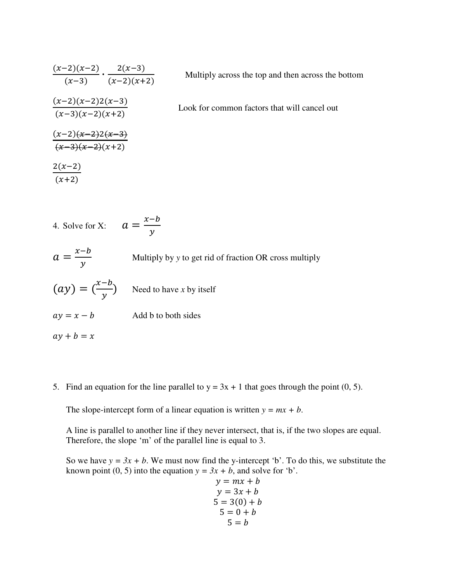$$
\frac{(x-2)(x-2)}{(x-3)} \cdot \frac{2(x-3)}{(x-2)(x+2)}
$$
 Multiply across the top and then across the bottom  
\n
$$
\frac{(x-2)(x-2)(x-2)}{(x-3)(x-2)(x+2)}
$$
 Look for common factors that will cancel out  
\n
$$
\frac{(x-2)(x-2)(x-3)}{(x-3)(x-2)(x+2)}
$$
  
\n
$$
\frac{2(x-2)}{(x+2)}
$$

4. Solve for X: 
$$
a = \frac{x-b}{y}
$$
  
\n $a = \frac{x-b}{y}$  Multiply by y to get rid of fraction OR cross multiply  
\n $(ay) = (\frac{x-b}{y})$  Need to have x by itself  
\n $ay = x - b$  Add b to both sides  
\n $ay + b = x$ 

5. Find an equation for the line parallel to  $y = 3x + 1$  that goes through the point (0, 5).

The slope-intercept form of a linear equation is written  $y = mx + b$ .

A line is parallel to another line if they never intersect, that is, if the two slopes are equal. Therefore, the slope 'm' of the parallel line is equal to 3.

So we have  $y = 3x + b$ . We must now find the y-intercept 'b'. To do this, we substitute the known point (0, 5) into the equation  $y = 3x + b$ , and solve for 'b'.

$$
y = mx + b
$$
  
\n
$$
y = 3x + b
$$
  
\n
$$
5 = 3(0) + b
$$
  
\n
$$
5 = 0 + b
$$
  
\n
$$
5 = b
$$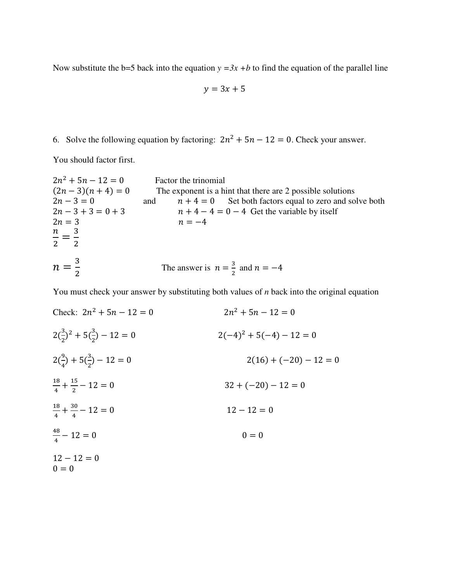Now substitute the b=5 back into the equation  $y = 3x + b$  to find the equation of the parallel line

$$
y = 3x + 5
$$

6. Solve the following equation by factoring:  $2n^2 + 5n - 12 = 0$ . Check your answer.

You should factor first.

 $2n^2 + 5n - 12 = 0$  Factor the trinomial<br>  $(2n-3)(n+4) = 0$  The exponent is a h  $(2n-3)(n+4) = 0$  The exponent is a hint that there are 2 possible solutions<br>  $2n-3 = 0$  and  $n+4 = 0$  Set both factors equal to zero and so  $2n - 3 = 0$  and  $n + 4 = 0$  Set both factors equal to zero and solve both  $2n - 3 + 3 = 0 + 3$   $n + 4 - 4 = 0 - 4$  Get the variable by itself  $2n - 3 + 3 = 0 + 3$ <br>  $2n = 3$ <br>  $n + 4 - 4 = 0 - 4$  Get the variable by itself<br>  $n = -4$  $n = -4$  $\boldsymbol{n}$  $\frac{n}{2} = \frac{3}{2}$  $\overline{\mathbf{c}}$  $n=\frac{3}{2}$  $\overline{\mathbf{c}}$ The answer is  $n = \frac{3}{2}$  $\frac{3}{2}$  and  $n = -4$ 

You must check your answer by substituting both values of *n* back into the original equation

Check: 
$$
2n^2 + 5n - 12 = 0
$$
  
\n $2(\frac{3}{2})^2 + 5(\frac{3}{2}) - 12 = 0$   
\n $2(\frac{9}{4}) + 5(\frac{3}{2}) - 12 = 0$   
\n $\frac{18}{4} + \frac{15}{2} - 12 = 0$   
\n $\frac{18}{4} + \frac{30}{4} - 12 = 0$   
\n $\frac{48}{4} - 12 = 0$   
\n $12 - 12 = 0$   
\n $12 - 12 = 0$   
\n $12 - 12 = 0$   
\n $12 - 12 = 0$   
\n $12 - 12 = 0$   
\n $12 - 12 = 0$   
\n $0 = 0$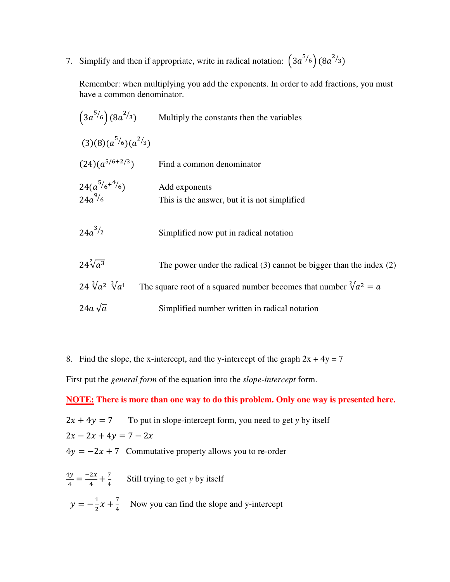7. Simplify and then if appropriate, write in radical notation:  $(3a^{5/6}) (8a^{2/3})$ 

Remember: when multiplying you add the exponents. In order to add fractions, you must have a common denominator.

| $(3a^{5/6})(8a^{2/3})$           | Multiply the constants then the variables                                   |
|----------------------------------|-----------------------------------------------------------------------------|
| $(3)(8)(a^{5/6})(a^{2/3})$       |                                                                             |
| $(24)(a^{5/6+2/3})$              | Find a common denominator                                                   |
| $24(a^{5/6+4/6})$<br>$24a^{9/6}$ | Add exponents<br>This is the answer, but it is not simplified               |
| $24a^{3/2}$                      | Simplified now put in radical notation                                      |
| $24\sqrt[2]{a^3}$                | The power under the radical $(3)$ cannot be bigger than the index $(2)$     |
| $24 \sqrt[2]{a^2} \sqrt[2]{a^1}$ | The square root of a squared number becomes that number $\sqrt[2]{a^2} = a$ |
| 24a $\sqrt{a}$                   | Simplified number written in radical notation                               |

8. Find the slope, the x-intercept, and the y-intercept of the graph  $2x + 4y = 7$ 

First put the *general form* of the equation into the *slope-intercept* form.

**NOTE: There is more than one way to do this problem. Only one way is presented here.**

 $2x + 4y = 7$  To put in slope-intercept form, you need to get *y* by itself  $2x - 2x + 4y = 7 - 2x$  $4y = -2x + 7$  Commutative property allows you to re-order

 $4y$  $\frac{dy}{4} = \frac{-2x}{4}$  $\frac{2x}{4} + \frac{7}{4}$  $\frac{7}{4}$  Still trying to get *y* by itself  $y=-\frac{1}{2}$  $\frac{1}{2}x + \frac{7}{4}$  Now you can find the slope and y-intercept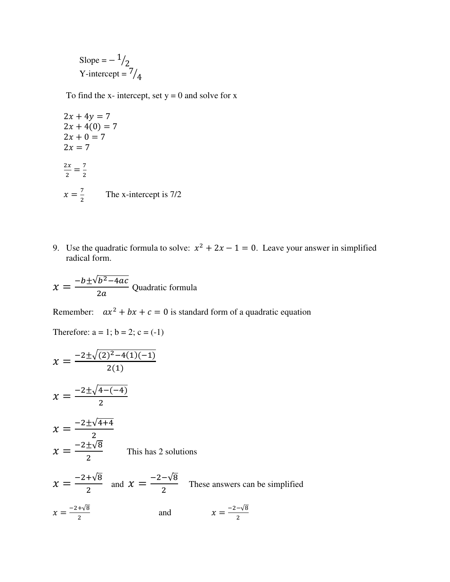Slope =  $-1/2$ Y-intercept =  $\frac{7}{4}$ 

To find the x- intercept, set  $y = 0$  and solve for x

 $2x + 4y = 7$  $2x + 4(0) = 7$  $2x + 0 = 7$  $2x = 7$  $2x$  $\frac{2x}{2} = \frac{7}{2}$  $\frac{1}{2}$  $x=\frac{7}{2}$  $\frac{7}{2}$  The x-intercept is 7/2

9. Use the quadratic formula to solve:  $x^2 + 2x - 1 = 0$ . Leave your answer in simplified radical form.

 $x = \frac{-b \pm \sqrt{b^2 - 4ac}}{2a}$  $2a$ Quadratic formula

Therefore:  $a = 1$ ;  $b = 2$ ;  $c = (-1)$ 

Remember:  $ax^2 + bx + c = 0$  is standard form of a quadratic equation

 $x =$  $-2\pm\sqrt{(2)^2-4(1)(-1)}$  $\frac{1}{2(1)}$  $x=\frac{-2\pm\sqrt{4-(-4)}}{2}$  $\overline{\mathbf{c}}$  $x=\frac{-2\pm\sqrt{4+4}}{2}$  $\overline{\mathbf{c}}$  $\ddot{\phantom{0}}$  $x=\frac{-2\pm\sqrt{8}}{2}$  $\overline{\mathbf{c}}$  This has 2 solutions  $\chi = \frac{-2 + \sqrt{8}}{2}$  $\frac{+\sqrt{8}}{2}$  and  $x = \frac{-2-\sqrt{8}}{2}$  $\overline{\mathbf{c}}$  These answers can be simplified  $x=\frac{-2+\sqrt{8}}{2}$  $\overline{\mathbf{c}}$ and  $x = \frac{-2-\sqrt{8}}{2}$  $\overline{\mathbf{c}}$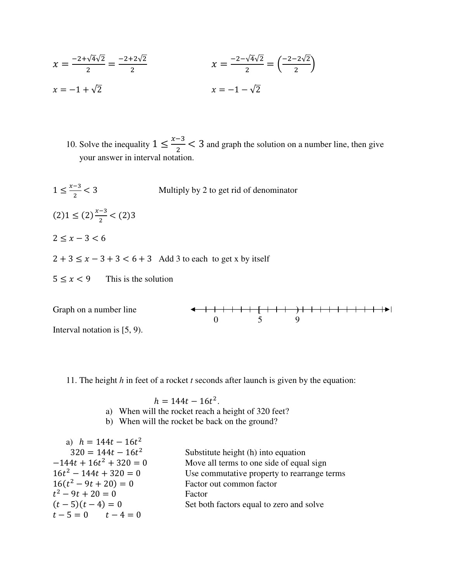$$
x = \frac{-2 + \sqrt{4}\sqrt{2}}{2} = \frac{-2 + 2\sqrt{2}}{2}
$$
  

$$
x = -1 + \sqrt{2}
$$
  

$$
x = -1 - \sqrt{2}
$$
  

$$
x = -1 - \sqrt{2}
$$

10. Solve the inequality  $1 \le \frac{x-3}{2} < 3$  and graph the solution on a number line, then give your answer in interval notation.

 $1 \leq \frac{x-3}{2}$ Multiply by 2 to get rid of denominator  $(2)1 \leq (2) \frac{x-3}{2}$  $\frac{3}{2} < (2)3$  $2 \leq x - 3 < 6$  $2 + 3 \le x - 3 + 3 < 6 + 3$  Add 3 to each to get x by itself  $5 \le x < 9$  This is the solution



11. The height *h* in feet of a rocket *t* seconds after launch is given by the equation:

 $h = 144t - 16t^2$ .

- a) When will the rocket reach a height of 320 feet?
- b) When will the rocket be back on the ground?

| Substitute height (h) into equation<br>$-144t + 16t^2 + 320 = 0$<br>Move all terms to one side of equal sign<br>$16t^2 - 144t + 320 = 0$<br>$16(t^2-9t+20)=0$<br>Factor out common factor<br>$t^2-9t+20=0$<br>Factor<br>$(t-5)(t-4)=0$<br>Set both factors equal to zero and solve<br>$t-5=0$ $t-4=0$ | a) $h = 144t - 16t^2$ |                                             |
|-------------------------------------------------------------------------------------------------------------------------------------------------------------------------------------------------------------------------------------------------------------------------------------------------------|-----------------------|---------------------------------------------|
|                                                                                                                                                                                                                                                                                                       | $320 = 144t - 16t^2$  |                                             |
|                                                                                                                                                                                                                                                                                                       |                       |                                             |
|                                                                                                                                                                                                                                                                                                       |                       | Use commutative property to rearrange terms |
|                                                                                                                                                                                                                                                                                                       |                       |                                             |
|                                                                                                                                                                                                                                                                                                       |                       |                                             |
|                                                                                                                                                                                                                                                                                                       |                       |                                             |
|                                                                                                                                                                                                                                                                                                       |                       |                                             |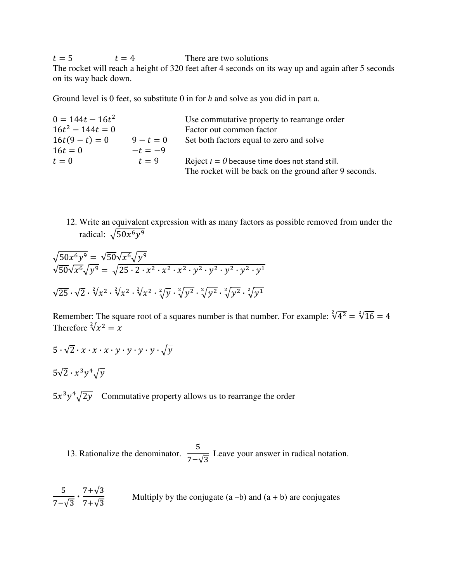$t = 5$   $t = 4$  There are two solutions The rocket will reach a height of 320 feet after 4 seconds on its way up and again after 5 seconds on its way back down.

Ground level is 0 feet, so substitute 0 in for *h* and solve as you did in part a.

| $0 = 144t - 16t^2$ |             | Use commutative property to rearrange order            |
|--------------------|-------------|--------------------------------------------------------|
| $16t^2 - 144t = 0$ |             | Factor out common factor                               |
| $16t(9-t) = 0$     | $9 - t = 0$ | Set both factors equal to zero and solve               |
| $16t = 0$          | $-t=-9$     |                                                        |
| $t=0$              | $t=9$       | Reject $t = 0$ because time does not stand still.      |
|                    |             | The rocket will be back on the ground after 9 seconds. |

12. Write an equivalent expression with as many factors as possible removed from under the radical:  $\sqrt{50x^6y^9}$ 

$$
\sqrt{50x^6y^9} = \sqrt{50}\sqrt{x^6}\sqrt{y^9}
$$
  

$$
\sqrt{50}\sqrt{x^6}\sqrt{y^9} = \sqrt{25 \cdot 2 \cdot x^2 \cdot x^2 \cdot x^2 \cdot y^2 \cdot y^2 \cdot y^2 \cdot y^1}
$$
  

$$
\sqrt{25} \cdot \sqrt{2} \cdot \sqrt[2]{x^2} \cdot \sqrt[2]{x^2} \cdot \sqrt[2]{x^2} \cdot \sqrt[2]{y^2} \cdot \sqrt[2]{y^2} \cdot \sqrt[2]{y^2} \cdot \sqrt[2]{y^2} \cdot \sqrt[2]{y^1}
$$

Remember: The square root of a squares number is that number. For example:  $\sqrt[2]{4^2} = \sqrt[2]{16} = 4$ Therefore  $\sqrt[2]{x^2} = x$ 

$$
5 \cdot \sqrt{2} \cdot x \cdot x \cdot x \cdot y \cdot y \cdot y \cdot \sqrt{y}
$$

$$
5\sqrt{2} \cdot x^3 y^4 \sqrt{y}
$$

 $5x^3y^4\sqrt{2y}$  Commutative property allows us to rearrange the order

13. Rationalize the denominator. 5  $7-\sqrt{3}$ Leave your answer in radical notation.

$$
\frac{5}{7-\sqrt{3}} \cdot \frac{7+\sqrt{3}}{7+\sqrt{3}}
$$
 Multiply by the conjugate (a -b) and (a + b) are conjugates